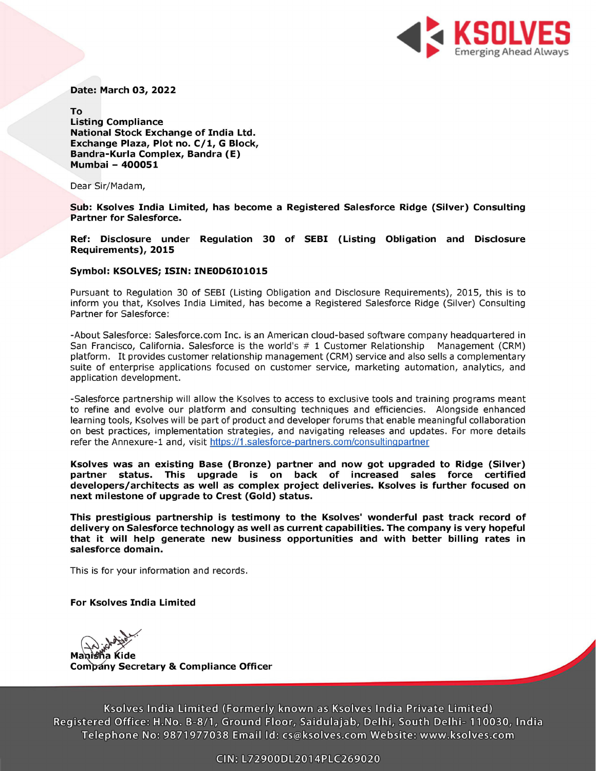

Date: March 03, 2022

To Listing Compliance National Stock Exchange of India Ltd. Exchange Plaza, Plot no. C/1, G Block, Bandra-Kurla Complex, Bandra (E) Mumbai - 400051

Dear Sir/Madam,

Sub: Ksolves India Limited, has become a Registered Salesforce Ridge (Silver) Consulting Partner for Salesforce.

Ref: Disclosure under Regulation 30 of SEBI (Listing Obligation and Disclosure Requirements), 2015

## Symbol: KSOLVES; ISIN: INEOD6101015

Pursuant to Regulation 30 of SEBI (Listing Obligation and Disclosure Requirements), 2015, this is to inform you that, Ksolves India Limited, has become a Registered Salesforce Ridge (Silver) Consulting Partner for Salesforce:

-About Salesforce: Salesforce.com Inc. is an American cloud-based software company headquartered in San Francisco, California. Salesforce is the world's # 1 Customer Relationship Management (CRM) platform. It provides customer relationship management (CRM) service and also sells a complementary suite of enterprise applications focused on customer service, marketing automation, analytics, and application development.

-Salesforce partnership will allow the Ksolves to access to exclusive tools and training programs meant to refine and evolve our platform and consulting techniques and efficiencies. Alongside enhanced learning tools, Ksolves will be part of product and developer forums that enable meaningful collaboration on best practices, implementation strategies, and navigating releases and updates. For more details refer the Annexure-1 and, visit https://1.salesforce-partners.com/consultingpartner

Ksolves was an existing Base (Bronze) partner and now got upgraded to Ridge (Silver) partner status. This upgrade is on back of increased sales force' certified developers/architects as well as complex project deliveries. Ksolves is further focused on next milestone of upgrade to Crest (Gold) status.

This prestigious partnership is testimony to the Ksolves' wonderful past track record of delivery on Salesforce technology as well as current capabilities. The company is very hopeful that it will help generate new business opportunities and with better billing rates in salesforce domain.

This is for your information and records.

## For Ksolves India Limited

Manisha Kide **Company Secretary & Compliance Officer** 

Ksolves India Limited (Formerly known as Ksolves India Private Limited) Registered Office: H.No. B-8/1, Ground Floor, Saidulajab, Delhi, South Delhi- 110030, India Telephone No: 9871977038 Email Id: cs@ksolves.com Website: www.ksolves.com GIN: L72900DL2014PLE269020